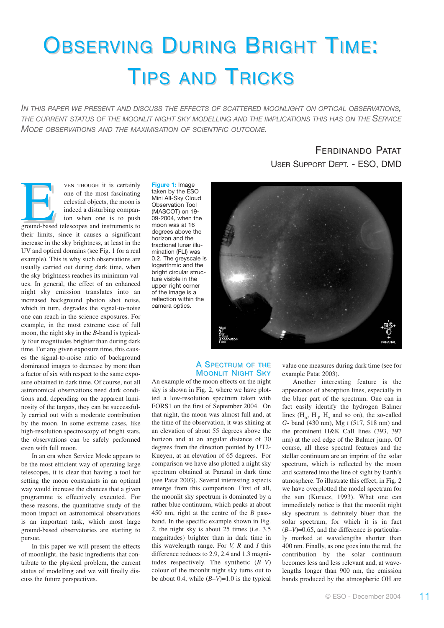# OBSERVING DURING BRIGHT TIME: TIPS AND TRICKS

*IN THIS PAPER WE PRESENT AND DISCUSS THE EFFECTS OF SCATTERED MOONLIGHT ON OPTICAL OBSERVATIONS, THE CURRENT STATUS OF THE MOONLIT NIGHT SKY MODELLING AND THE IMPLICATIONS THIS HAS ON THE SERVICE MODE OBSERVATIONS AND THE MAXIMISATION OF SCIENTIFIC OUTCOME.*

> **FERDINANDO PATAT** USER SUPPORT DEPT. - ESO, DMD

VEN THOUGH it is certainly<br>
one of the most fascinating<br>
celestial objects, the moon is<br>
indeed a disturbing compan-<br>
ion when one is to push<br>
ground-based telescopes and instruments to one of the most fascinating celestial objects, the moon is indeed a disturbing companion when one is to push their limits, since it causes a significant increase in the sky brightness, at least in the UV and optical domains (see Fig. 1 for a real example). This is why such observations are usually carried out during dark time, when the sky brightness reaches its minimum values. In general, the effect of an enhanced night sky emission translates into an increased background photon shot noise, which in turn, degrades the signal-to-noise one can reach in the science exposures. For example, in the most extreme case of full moon, the night sky in the *B*-band is typically four magnitudes brighter than during dark time. For any given exposure time, this causes the signal-to-noise ratio of background dominated images to decrease by more than a factor of six with respect to the same exposure obtained in dark time. Of course, not all astronomical observations need dark conditions and, depending on the apparent luminosity of the targets, they can be successfully carried out with a moderate contribution by the moon. In some extreme cases, like high-resolution spectroscopy of bright stars, the observations can be safely performed even with full moon.

In an era when Service Mode appears to be the most efficient way of operating large telescopes, it is clear that having a tool for setting the moon constraints in an optimal way would increase the chances that a given programme is effectively executed. For these reasons, the quantitative study of the moon impact on astronomical observations is an important task, which most large ground-based observatories are starting to pursue.

In this paper we will present the effects of moonlight, the basic ingredients that contribute to the physical problem, the current status of modelling and we will finally discuss the future perspectives.

**Figure 1:** Image taken by the ESO Mini All-Sky Cloud Observation Tool (MASCOT) on 19- 09-2004, when the moon was at 16 degrees above the horizon and the fractional lunar illumination (FLI) was 0.2. The greyscale is logarithmic and the bright circular structure visible in the upper right corner of the image is a reflection within the camera optics.

## A SPECTRUM OF THE **MOONLIT NIGHT SKY**

An example of the moon effects on the night sky is shown in Fig. 2, where we have plotted a low-resolution spectrum taken with FORS1 on the first of September 2004. On that night, the moon was almost full and, at the time of the observation, it was shining at an elevation of about 55 degrees above the horizon and at an angular distance of 30 degrees from the direction pointed by UT2- Kueyen, at an elevation of 65 degrees. For comparison we have also plotted a night sky spectrum obtained at Paranal in dark time (see Patat 2003). Several interesting aspects emerge from this comparison. First of all, the moonlit sky spectrum is dominated by a rather blue continuum, which peaks at about 450 nm, right at the centre of the *B* passband. In the specific example shown in Fig. 2, the night sky is about 25 times (i.e. 3.5 magnitudes) brighter than in dark time in this wavelength range. For *V, R* and *I* this difference reduces to 2.9, 2.4 and 1.3 magnitudes respectively. The synthetic (*B–V*) colour of the moonlit night sky turns out to be about 0.4, while (*B–V*)=1.0 is the typical

value one measures during dark time (see for example Patat 2003).

Another interesting feature is the appearance of absorption lines, especially in the bluer part of the spectrum. One can in fact easily identify the hydrogen Balmer lines ( $H_{\alpha}$ ,  $H_{\beta}$ ,  $H_{\gamma}$  and so on), the so-called *G*- band (430 nm), Mg I (517, 518 nm) and the prominent H&K CaII lines (393, 397 nm) at the red edge of the Balmer jump. Of course, all these spectral features and the stellar continuum are an imprint of the solar spectrum, which is reflected by the moon and scattered into the line of sight by Earth's atmosphere. To illustrate this effect, in Fig. 2 we have overplotted the model spectrum for the sun (Kurucz, 1993). What one can immediately notice is that the moonlit night sky spectrum is definitely bluer than the solar spectrum, for which it is in fact  $(B-V)=0.65$ , and the difference is particularly marked at wavelengths shorter than 400 nm. Finally, as one goes into the red, the contribution by the solar continuum becomes less and less relevant and, at wavelengths longer than 900 nm, the emission bands produced by the atmospheric OH are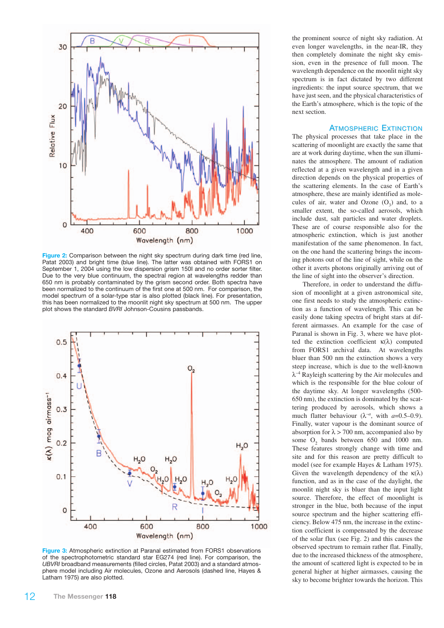

**Figure 2:** Comparison between the night sky spectrum during dark time (red line, Patat 2003) and bright time (blue line). The latter was obtained with FORS1 on September 1, 2004 using the low dispersion grism 150I and no order sorter filter. Due to the very blue continuum, the spectral region at wavelengths redder than 650 nm is probably contaminated by the grism second order. Both spectra have been normalized to the continuum of the first one at 500 nm. For comparison, the model spectrum of a solar-type star is also plotted (black line). For presentation, this has been normalized to the moonlit night sky spectrum at 500 nm. The upper plot shows the standard *BVRI* Johnson-Cousins passbands.



**Figure 3:** Atmospheric extinction at Paranal estimated from FORS1 observations of the spectrophotometric standard star EG274 (red line). For comparison, the *UBVRI* broadband measurements (filled circles, Patat 2003) and a standard atmosphere model including Air molecules, Ozone and Aerosols (dashed line, Hayes & Latham 1975) are also plotted.

the prominent source of night sky radiation. At even longer wavelengths, in the near-IR, they then completely dominate the night sky emission, even in the presence of full moon. The wavelength dependence on the moonlit night sky spectrum is in fact dictated by two different ingredients: the input source spectrum, that we have just seen, and the physical characteristics of the Earth's atmosphere, which is the topic of the next section.

### ATMOSPHERIC EXTINCTION

The physical processes that take place in the scattering of moonlight are exactly the same that are at work during daytime, when the sun illuminates the atmosphere. The amount of radiation reflected at a given wavelength and in a given direction depends on the physical properties of the scattering elements. In the case of Earth's atmosphere, these are mainly identified as molecules of air, water and Ozone  $(O_2)$  and, to a smaller extent, the so-called aerosols, which include dust, salt particles and water droplets. These are of course responsible also for the atmospheric extinction, which is just another manifestation of the same phenomenon. In fact, on the one hand the scattering brings the incoming photons out of the line of sight, while on the other it averts photons originally arriving out of the line of sight into the observer's direction.

Therefore, in order to understand the diffusion of moonlight at a given astronomical site, one first needs to study the atmospheric extinction as a function of wavelength. This can be easily done taking spectra of bright stars at different airmasses. An example for the case of Paranal is shown in Fig. 3, where we have plotted the extinction coefficient  $\kappa(\lambda)$  computed from FORS1 archival data. At wavelengths bluer than 500 nm the extinction shows a very steep increase, which is due to the well-known  $\lambda^{-4}$  Rayleigh scattering by the Air molecules and which is the responsible for the blue colour of the daytime sky. At longer wavelengths (500- 650 nm), the extinction is dominated by the scattering produced by aerosols, which shows a much flatter behaviour ( $\lambda^{-a}$ , with *a*=0.5–0.9). Finally, water vapour is the dominant source of absorption for  $\lambda$  > 700 nm, accompanied also by some O<sub>2</sub> bands between 650 and 1000 nm. These features strongly change with time and site and for this reason are pretty difficult to model (see for example Hayes & Latham 1975). Given the wavelength dependency of the  $\kappa(\lambda)$ function, and as in the case of the daylight, the moonlit night sky is bluer than the input light source. Therefore, the effect of moonlight is stronger in the blue, both because of the input source spectrum and the higher scattering efficiency. Below 475 nm, the increase in the extinction coefficient is compensated by the decrease of the solar flux (see Fig. 2) and this causes the observed spectrum to remain rather flat. Finally, due to the increased thickness of the atmosphere, the amount of scattered light is expected to be in general higher at higher airmasses, causing the sky to become brighter towards the horizon. This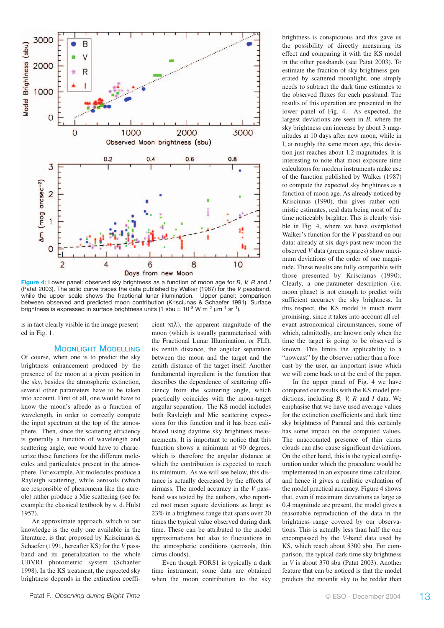

**Figure 4:** Lower panel: observed sky brightness as a function of moon age for *B, V, R* and *I* (Patat 2003). The solid curve traces the data published by Walker (1987) for the *V* passband, while the upper scale shows the fractional lunar illumination. Upper panel: comparison between observed and predicted moon contribution (Krisciunas & Schaefer 1991). Surface brightness is expressed in surface brightness units (1 sbu =  $10^{-8}$  W m<sup>-2</sup>  $\mu$ m<sup>-1</sup> sr<sup>-1</sup>).

is in fact clearly visible in the image presented in Fig. 1.

#### **MOONLIGHT MODELLING**

Of course, when one is to predict the sky brightness enhancement produced by the presence of the moon at a given position in the sky, besides the atmospheric extinction, several other parameters have to be taken into account. First of all, one would have to know the moon's albedo as a function of wavelength, in order to correctly compute the input spectrum at the top of the atmosphere. Then, since the scattering efficiency is generally a function of wavelength and scattering angle, one would have to characterize these functions for the different molecules and particulates present in the atmosphere. For example, Air molecules produce a Rayleigh scattering, while aerosols (which are responsible of phenomena like the aureole) rather produce a Mie scattering (see for example the classical textbook by v. d. Hulst 1957).

An approximate approach, which to our knowledge is the only one available in the literature, is that proposed by Krisciunas & Schaefer (1991, hereafter KS) for the *V* passband and its generalization to the whole UBVRI photometric system (Schaefer 1998). In the KS treatment, the expected sky brightness depends in the extinction coefficient  $\kappa(\lambda)$ , the apparent magnitude of the moon (which is usually parameterised with the Fractional Lunar Illumination, or FLI), its zenith distance, the angular separation between the moon and the target and the zenith distance of the target itself. Another fundamental ingredient is the function that describes the dependence of scattering efficiency from the scattering angle, which practically coincides with the moon-target angular separation. The KS model includes both Rayleigh and Mie scattering expressions for this function and it has been calibrated using daytime sky brightness measurements. It is important to notice that this function shows a minimum at 90 degrees, which is therefore the angular distance at which the contribution is expected to reach its minimum. As we will see below, this distance is actually decreased by the effects of airmass. The model accuracy in the *V* passband was tested by the authors, who reported root mean square deviations as large as 23% in a brightness range that spans over 20 times the typical value observed during dark time. These can be attributed to the model approximations but also to fluctuations in the atmospheric conditions (aerosols, thin cirrus clouds).

Even though FORS1 is typically a dark time instrument, some data are obtained when the moon contribution to the sky

brightness is conspicuous and this gave us the possibility of directly measuring its effect and comparing it with the KS model in the other passbands (see Patat 2003). To estimate the fraction of sky brightness generated by scattered moonlight, one simply needs to subtract the dark time estimates to the observed fluxes for each passband. The results of this operation are presented in the lower panel of Fig. 4. As expected, the largest deviations are seen in *B*, where the sky brightness can increase by about 3 magnitudes at 10 days after new moon, while in I, at roughly the same moon age, this deviation just reaches about 1.2 magnitudes. It is interesting to note that most exposure time calculators for modern instruments make use of the function published by Walker (1987) to compute the expected sky brightness as a function of moon age. As already noticed by Krisciunas (1990), this gives rather optimistic estimates, real data being most of the time noticeably brighter. This is clearly visible in Fig. 4, where we have overplotted Walker's function for the *V* passband on our data: already at six days past new moon the observed *V* data (green squares) show maximum deviations of the order of one magnitude. These results are fully compatible with those presented by Krisciunas (1990). Clearly, a one-parameter description (i.e. moon phase) is not enough to predict with sufficient accuracy the sky brightness. In this respect, the KS model is much more promising, since it takes into account all relevant astronomical circumstances, some of which, admittedly, are known only when the time the target is going to be observed is known. This limits the applicability to a "nowcast" by the observer rather than a forecast by the user, an important issue which we will come back to at the end of the paper.

In the upper panel of Fig. 4 we have compared our results with the KS model predictions, including *B, V, R* and *I* data. We emphasise that we have used average values for the extinction coefficients and dark time sky brightness of Paranal and this certainly has some impact on the computed values. The unaccounted presence of thin cirrus clouds can also cause significant deviations. On the other hand, this is the typical configuration under which the procedure would be implemented in an exposure time calculator, and hence it gives a realistic evaluation of the model practical accuracy. Figure 4 shows that, even if maximum deviations as large as 0.4 magnitude are present, the model gives a reasonable reproduction of the data in the brightness range covered by our observations. This is actually less than half the one encompassed by the *V*-band data used by KS, which reach about 8300 sbu. For comparison, the typical dark time sky brightness in *V* is about 370 sbu (Patat 2003). Another feature that can be noticed is that the model predicts the moonlit sky to be redder than